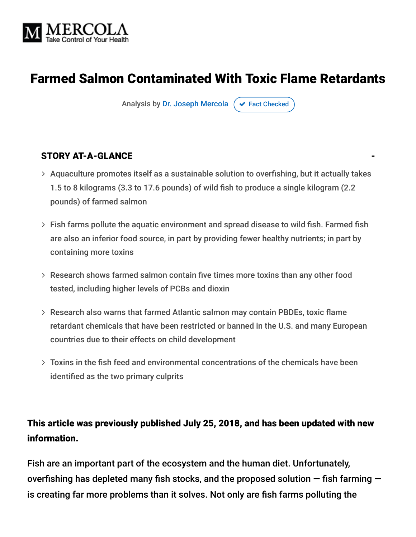

# Farmed Salmon Contaminated With Toxic Flame Retardants

Analysis by [Dr. Joseph Mercola](https://www.mercola.com/forms/background.htm)  $\sigma$  [Fact Checked](javascript:void(0))

#### STORY AT-A-GLANCE

- Aquaculture promotes itself as a sustainable solution to overfishing, but it actually takes 1.5 to 8 kilograms (3.3 to 17.6 pounds) of wild fish to produce a single kilogram (2.2 pounds) of farmed salmon
- Fish farms pollute the aquatic environment and spread disease to wild fish. Farmed fish are also an inferior food source, in part by providing fewer healthy nutrients; in part by containing more toxins
- Research shows farmed salmon contain five times more toxins than any other food tested, including higher levels of PCBs and dioxin
- Research also warns that farmed Atlantic salmon may contain PBDEs, toxic flame retardant chemicals that have been restricted or banned in the U.S. and many European countries due to their effects on child development
- Toxins in the fish feed and environmental concentrations of the chemicals have been identified as the two primary culprits

#### This article was previously published July 25, 2018, and has been updated with new information.

Fish are an important part of the ecosystem and the human diet. Unfortunately, overfishing has depleted many fish stocks, and the proposed solution  $-$  fish farming  $$ is creating far more problems than it solves. Not only are fish farms polluting the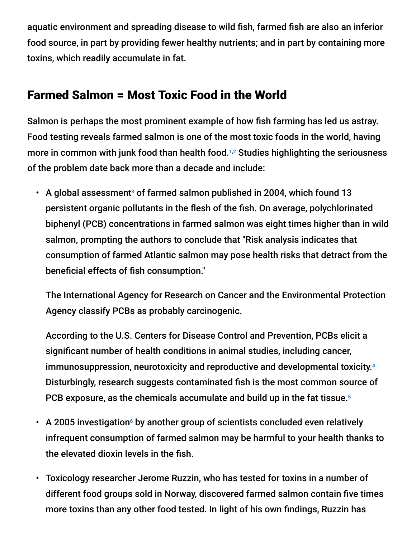aquatic environment and spreading disease to wild fish, farmed fish are also an inferior food source, in part by providing fewer healthy nutrients; and in part by containing more toxins, which readily accumulate in fat.

#### Farmed Salmon = Most Toxic Food in the World

Salmon is perhaps the most prominent example of how fish farming has led us astray. Food testing reveals farmed salmon is one of the most toxic foods in the world, having more in common with junk food than health food. $1,2$  Studies highlighting the seriousness of the problem date back more than a decade and include:

• A global assessment<sup>3</sup> of farmed salmon published in 2004, which found 13 persistent organic pollutants in the flesh of the fish. On average, polychlorinated biphenyl (PCB) concentrations in farmed salmon was eight times higher than in wild salmon, prompting the authors to conclude that "Risk analysis indicates that consumption of farmed Atlantic salmon may pose health risks that detract from the beneficial effects of fish consumption."

The International Agency for Research on Cancer and the Environmental Protection Agency classify PCBs as probably carcinogenic.

According to the U.S. Centers for Disease Control and Prevention, PCBs elicit a significant number of health conditions in animal studies, including cancer, immunosuppression, neurotoxicity and reproductive and developmental toxicity. 4 Disturbingly, research suggests contaminated fish is the most common source of PCB exposure, as the chemicals accumulate and build up in the fat tissue. 5

- A 2005 investigation<sup>6</sup> by another group of scientists concluded even relatively infrequent consumption of farmed salmon may be harmful to your health thanks to the elevated dioxin levels in the fish.
- Toxicology researcher Jerome Ruzzin, who has tested for toxins in a number of different food groups sold in Norway, discovered farmed salmon contain five times more toxins than any other food tested. In light of his own findings, Ruzzin has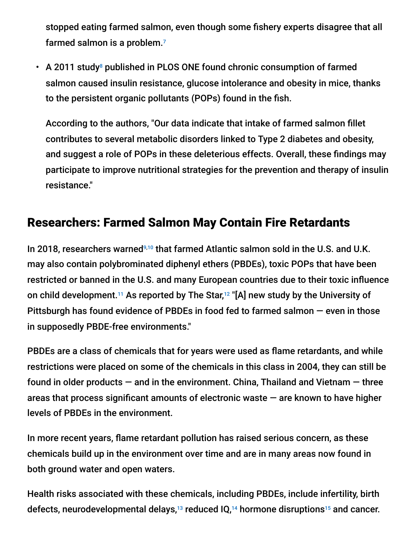stopped eating farmed salmon, even though some fishery experts disagree that all farmed salmon is a problem. 7

• A 2011 study<sup>8</sup> published in PLOS ONE found chronic consumption of farmed salmon caused insulin resistance, glucose intolerance and obesity in mice, thanks to the persistent organic pollutants (POPs) found in the fish.

According to the authors, "Our data indicate that intake of farmed salmon fillet contributes to several metabolic disorders linked to Type 2 diabetes and obesity, and suggest a role of POPs in these deleterious effects. Overall, these findings may participate to improve nutritional strategies for the prevention and therapy of insulin resistance."

## Researchers: Farmed Salmon May Contain Fire Retardants

In 2018, researchers warned<sup>9,10</sup> that farmed Atlantic salmon sold in the U.S. and U.K. may also contain polybrominated diphenyl ethers (PBDEs), toxic POPs that have been restricted or banned in the U.S. and many European countries due to their toxic influence on child development. $^{\scriptscriptstyle 11}$  As reported by The Star, $^{\scriptscriptstyle 12}$  "[A] new study by the University of Pittsburgh has found evidence of PBDEs in food fed to farmed salmon — even in those in supposedly PBDE-free environments."

PBDEs are a class of chemicals that for years were used as flame retardants, and while restrictions were placed on some of the chemicals in this class in 2004, they can still be found in older products  $-$  and in the environment. China, Thailand and Vietnam  $-$  three areas that process significant amounts of electronic waste  $-$  are known to have higher levels of PBDEs in the environment.

In more recent years, flame retardant pollution has raised serious concern, as these chemicals build up in the environment over time and are in many areas now found in both ground water and open waters.

Health risks associated with these chemicals, including PBDEs, include infertility, birth defects, neurodevelopmental delays, $^{13}$  reduced IQ, $^{14}$  hormone disruptions<sup>15</sup> and cancer.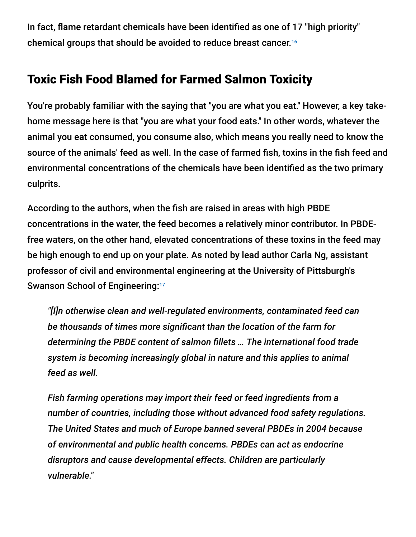In fact, flame retardant chemicals have been identified as one of 17 "high priority" chemical groups that should be avoided to reduce breast cancer. 16

## Toxic Fish Food Blamed for Farmed Salmon Toxicity

You're probably familiar with the saying that "you are what you eat." However, a key takehome message here is that "you are what your food eats." In other words, whatever the animal you eat consumed, you consume also, which means you really need to know the source of the animals' feed as well. In the case of farmed fish, toxins in the fish feed and environmental concentrations of the chemicals have been identified as the two primary culprits.

According to the authors, when the fish are raised in areas with high PBDE concentrations in the water, the feed becomes a relatively minor contributor. In PBDEfree waters, on the other hand, elevated concentrations of these toxins in the feed may be high enough to end up on your plate. As noted by lead author Carla Ng, assistant professor of civil and environmental engineering at the University of Pittsburgh's Swanson School of Engineering:<sup>17</sup>

*"[I]n otherwise clean and well-regulated environments, contaminated feed can be thousands of times more significant than the location of the farm for determining the PBDE content of salmon fillets … The international food trade system is becoming increasingly global in nature and this applies to animal feed as well.*

*Fish farming operations may import their feed or feed ingredients from a number of countries, including those without advanced food safety regulations. The United States and much of Europe banned several PBDEs in 2004 because of environmental and public health concerns. PBDEs can act as endocrine disruptors and cause developmental effects. Children are particularly vulnerable."*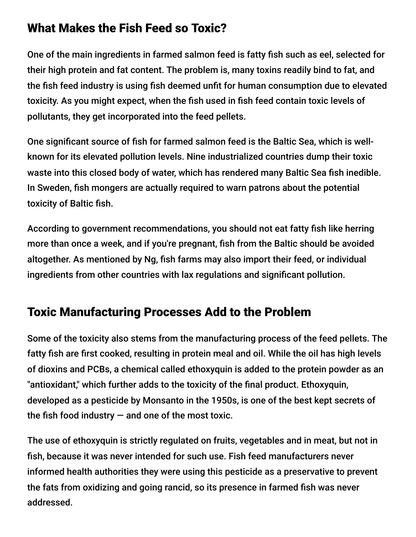## What Makes the Fish Feed so Toxic?

One of the main ingredients in farmed salmon feed is fatty fish such as eel, selected for their high protein and fat content. The problem is, many toxins readily bind to fat, and the fish feed industry is using fish deemed unfit for human consumption due to elevated toxicity. As you might expect, when the fish used in fish feed contain toxic levels of pollutants, they get incorporated into the feed pellets.

One significant source of fish for farmed salmon feed is the Baltic Sea, which is wellknown for its elevated pollution levels. Nine industrialized countries dump their toxic waste into this closed body of water, which has rendered many Baltic Sea fish inedible. In Sweden, fish mongers are actually required to warn patrons about the potential toxicity of Baltic fish.

According to government recommendations, you should not eat fatty fish like herring more than once a week, and if you're pregnant, fish from the Baltic should be avoided altogether. As mentioned by Ng, fish farms may also import their feed, or individual ingredients from other countries with lax regulations and significant pollution.

## Toxic Manufacturing Processes Add to the Problem

Some of the toxicity also stems from the manufacturing process of the feed pellets. The fatty fish are first cooked, resulting in protein meal and oil. While the oil has high levels of dioxins and PCBs, a chemical called ethoxyquin is added to the protein powder as an "antioxidant," which further adds to the toxicity of the final product. Ethoxyquin, developed as a pesticide by Monsanto in the 1950s, is one of the best kept secrets of the fish food industry  $-$  and one of the most toxic.

The use of ethoxyquin is strictly regulated on fruits, vegetables and in meat, but not in fish, because it was never intended for such use. Fish feed manufacturers never informed health authorities they were using this pesticide as a preservative to prevent the fats from oxidizing and going rancid, so its presence in farmed fish was never addressed.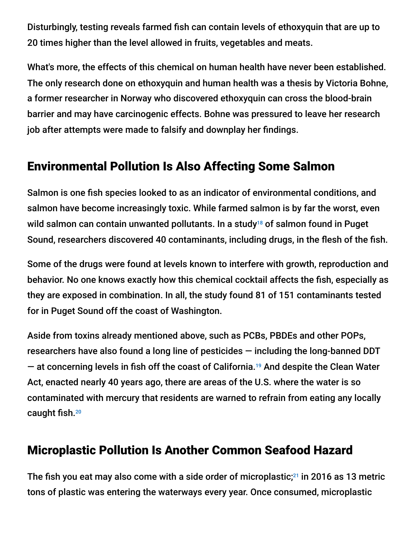Disturbingly, testing reveals farmed fish can contain levels of ethoxyquin that are up to 20 times higher than the level allowed in fruits, vegetables and meats.

What's more, the effects of this chemical on human health have never been established. The only research done on ethoxyquin and human health was a thesis by Victoria Bohne, a former researcher in Norway who discovered ethoxyquin can cross the blood-brain barrier and may have carcinogenic effects. Bohne was pressured to leave her research job after attempts were made to falsify and downplay her findings.

#### Environmental Pollution Is Also Affecting Some Salmon

Salmon is one fish species looked to as an indicator of environmental conditions, and salmon have become increasingly toxic. While farmed salmon is by far the worst, even wild salmon can contain unwanted pollutants. In a study $^{18}$  of salmon found in Puget Sound, researchers discovered 40 contaminants, including drugs, in the flesh of the fish.

Some of the drugs were found at levels known to interfere with growth, reproduction and behavior. No one knows exactly how this chemical cocktail affects the fish, especially as they are exposed in combination. In all, the study found 81 of 151 contaminants tested for in Puget Sound off the coast of Washington.

Aside from toxins already mentioned above, such as PCBs, PBDEs and other POPs, researchers have also found a long line of pesticides — including the long-banned DDT  $-$  at concerning levels in fish off the coast of California.<sup>19</sup> And despite the Clean Water Act, enacted nearly 40 years ago, there are areas of the U.S. where the water is so contaminated with mercury that residents are warned to refrain from eating any locally caught fish. 20

#### Microplastic Pollution Is Another Common Seafood Hazard

The fish you eat may also come with a side order of microplastic; $^{21}$  in 2016 as 13 metric tons of plastic was entering the waterways every year. Once consumed, microplastic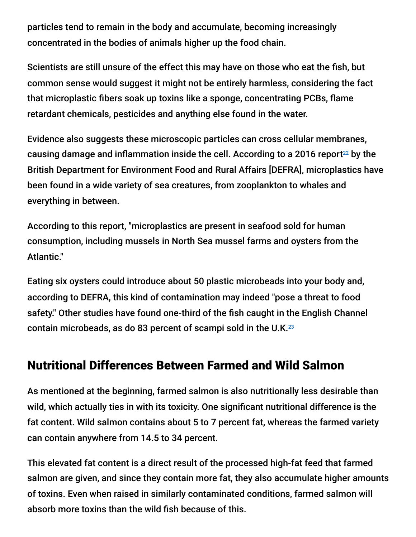particles tend to remain in the body and accumulate, becoming increasingly concentrated in the bodies of animals higher up the food chain.

Scientists are still unsure of the effect this may have on those who eat the fish, but common sense would suggest it might not be entirely harmless, considering the fact that microplastic fibers soak up toxins like a sponge, concentrating PCBs, flame retardant chemicals, pesticides and anything else found in the water.

Evidence also suggests these microscopic particles can cross cellular membranes, causing damage and inflammation inside the cell. According to a 2016 report<sup>22</sup> by the British Department for Environment Food and Rural Affairs [DEFRA], microplastics have been found in a wide variety of sea creatures, from zooplankton to whales and everything in between.

According to this report, "microplastics are present in seafood sold for human consumption, including mussels in North Sea mussel farms and oysters from the Atlantic."

Eating six oysters could introduce about 50 plastic microbeads into your body and, according to DEFRA, this kind of contamination may indeed "pose a threat to food safety." Other studies have found one-third of the fish caught in the English Channel contain microbeads, as do 83 percent of scampi sold in the U.K. $^{23}$ 

## Nutritional Differences Between Farmed and Wild Salmon

As mentioned at the beginning, farmed salmon is also nutritionally less desirable than wild, which actually ties in with its toxicity. One significant nutritional difference is the fat content. Wild salmon contains about 5 to 7 percent fat, whereas the farmed variety can contain anywhere from 14.5 to 34 percent.

This elevated fat content is a direct result of the processed high-fat feed that farmed salmon are given, and since they contain more fat, they also accumulate higher amounts of toxins. Even when raised in similarly contaminated conditions, farmed salmon will absorb more toxins than the wild fish because of this.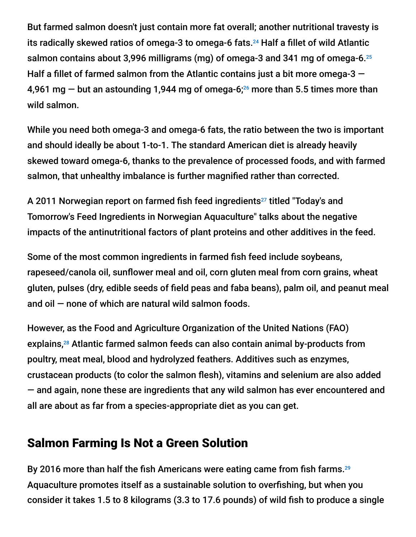But farmed salmon doesn't just contain more fat overall; another nutritional travesty is its radically skewed ratios of omega-3 to omega-6 fats.<sup>24</sup> Half a fillet of wild Atlantic salmon contains about 3,996 milligrams (mg) of omega-3 and 341 mg of omega-6. 25 Half a fillet of farmed salmon from the Atlantic contains just a bit more omega-3  $-$ 4,961 mg  $-$  but an astounding 1,944 mg of omega-6; $^{26}$  more than 5.5 times more than wild salmon.

While you need both omega-3 and omega-6 fats, the ratio between the two is important and should ideally be about 1-to-1. The standard American diet is already heavily skewed toward omega-6, thanks to the prevalence of processed foods, and with farmed salmon, that unhealthy imbalance is further magnified rather than corrected.

A 2011 Norwegian report on farmed fish feed ingredients<sup>27</sup> titled "Today's and Tomorrow's Feed Ingredients in Norwegian Aquaculture" talks about the negative impacts of the antinutritional factors of plant proteins and other additives in the feed.

Some of the most common ingredients in farmed fish feed include soybeans, rapeseed/canola oil, sunflower meal and oil, corn gluten meal from corn grains, wheat gluten, pulses (dry, edible seeds of field peas and faba beans), palm oil, and peanut meal and oil  $-$  none of which are natural wild salmon foods.

However, as the Food and Agriculture Organization of the United Nations (FAO) explains,<sup>28</sup> Atlantic farmed salmon feeds can also contain animal by-products from poultry, meat meal, blood and hydrolyzed feathers. Additives such as enzymes, crustacean products (to color the salmon flesh), vitamins and selenium are also added — and again, none these are ingredients that any wild salmon has ever encountered and all are about as far from a species-appropriate diet as you can get.

## Salmon Farming Is Not a Green Solution

By 2016 more than half the fish Americans were eating came from fish farms.<sup>29</sup> Aquaculture promotes itself as a sustainable solution to overfishing, but when you consider it takes 1.5 to 8 kilograms (3.3 to 17.6 pounds) of wild fish to produce a single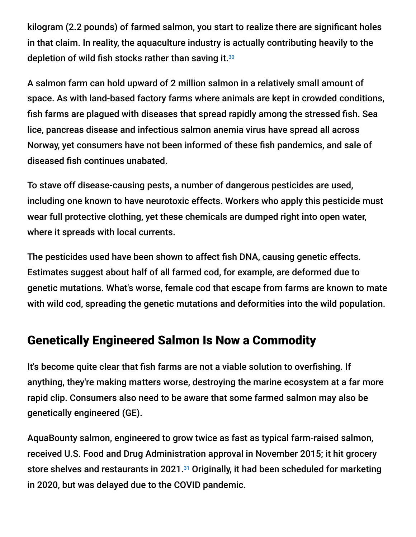kilogram (2.2 pounds) of farmed salmon, you start to realize there are significant holes in that claim. In reality, the aquaculture industry is actually contributing heavily to the depletion of wild fish stocks rather than saving it. 30

A salmon farm can hold upward of 2 million salmon in a relatively small amount of space. As with land-based factory farms where animals are kept in crowded conditions, fish farms are plagued with diseases that spread rapidly among the stressed fish. Sea lice, pancreas disease and infectious salmon anemia virus have spread all across Norway, yet consumers have not been informed of these fish pandemics, and sale of diseased fish continues unabated.

To stave off disease-causing pests, a number of dangerous pesticides are used, including one known to have neurotoxic effects. Workers who apply this pesticide must wear full protective clothing, yet these chemicals are dumped right into open water, where it spreads with local currents.

The pesticides used have been shown to affect fish DNA, causing genetic effects. Estimates suggest about half of all farmed cod, for example, are deformed due to genetic mutations. What's worse, female cod that escape from farms are known to mate with wild cod, spreading the genetic mutations and deformities into the wild population.

#### Genetically Engineered Salmon Is Now a Commodity

It's become quite clear that fish farms are not a viable solution to overfishing. If anything, they're making matters worse, destroying the marine ecosystem at a far more rapid clip. Consumers also need to be aware that some farmed salmon may also be genetically engineered (GE).

AquaBounty salmon, engineered to grow twice as fast as typical farm-raised salmon, received U.S. Food and Drug Administration approval in November 2015; it hit grocery store shelves and restaurants in 2021.<sup>31</sup> Originally, it had been scheduled for marketing in 2020, but was delayed due to the COVID pandemic.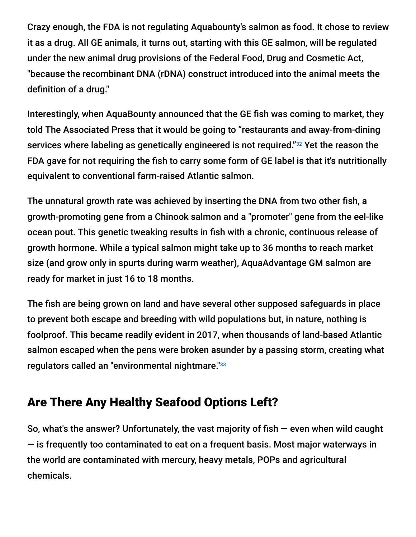Crazy enough, the FDA is not regulating Aquabounty's salmon as food. It chose to review it as a drug. All GE animals, it turns out, starting with this GE salmon, will be regulated under the new animal drug provisions of the Federal Food, Drug and Cosmetic Act, "because the recombinant DNA (rDNA) construct introduced into the animal meets the definition of a drug."

Interestingly, when AquaBounty announced that the GE fish was coming to market, they told The Associated Press that it would be going to "restaurants and away-from-dining services where labeling as genetically engineered is not required."<sup>32</sup> Yet the reason the FDA gave for not requiring the fish to carry some form of GE label is that it's nutritionally equivalent to conventional farm-raised Atlantic salmon.

The unnatural growth rate was achieved by inserting the DNA from two other fish, a growth-promoting gene from a Chinook salmon and a "promoter" gene from the eel-like ocean pout. This genetic tweaking results in fish with a chronic, continuous release of growth hormone. While a typical salmon might take up to 36 months to reach market size (and grow only in spurts during warm weather), AquaAdvantage GM salmon are ready for market in just 16 to 18 months.

The fish are being grown on land and have several other supposed safeguards in place to prevent both escape and breeding with wild populations but, in nature, nothing is foolproof. This became readily evident in 2017, when thousands of land-based Atlantic salmon escaped when the pens were broken asunder by a passing storm, creating what regulators called an "environmental nightmare."<sup>33</sup>

## Are There Any Healthy Seafood Options Left?

So, what's the answer? Unfortunately, the vast majority of fish  $-$  even when wild caught — is frequently too contaminated to eat on a frequent basis. Most major waterways in the world are contaminated with mercury, heavy metals, POPs and agricultural chemicals.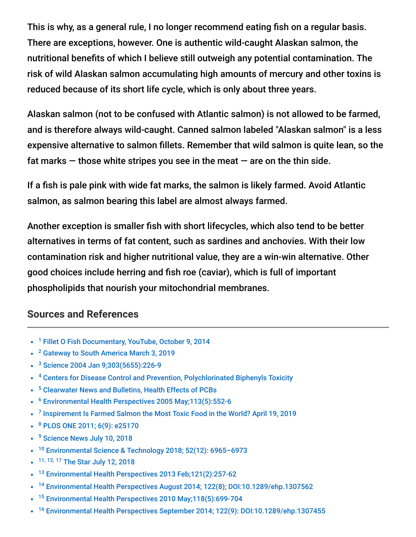This is why, as a general rule, I no longer recommend eating fish on a regular basis. There are exceptions, however. One is authentic wild-caught Alaskan salmon, the nutritional benefits of which I believe still outweigh any potential contamination. The risk of wild Alaskan salmon accumulating high amounts of mercury and other toxins is reduced because of its short life cycle, which is only about three years.

Alaskan salmon (not to be confused with Atlantic salmon) is not allowed to be farmed, and is therefore always wild-caught. Canned salmon labeled "Alaskan salmon" is a less expensive alternative to salmon fillets. Remember that wild salmon is quite lean, so the fat marks  $-$  those white stripes you see in the meat  $-$  are on the thin side.

If a fish is pale pink with wide fat marks, the salmon is likely farmed. Avoid Atlantic salmon, as salmon bearing this label are almost always farmed.

Another exception is smaller fish with short lifecycles, which also tend to be better alternatives in terms of fat content, such as sardines and anchovies. With their low contamination risk and higher nutritional value, they are a win-win alternative. Other good choices include herring and fish roe (caviar), which is full of important phospholipids that nourish your mitochondrial membranes.

#### **Sources and References**

- <sup>1</sup> [Fillet O Fish Documentary, YouTube, October 9, 2014](https://www.youtube.com/watch?v=MgrFXN4d1Jc)
- <sup>2</sup> [Gateway to South America March 3, 2019](https://www.gatewaytosouthamerica-newsblog.com/why-farmed-salmon-is-one-of-the-most-toxic-junk-food-we-can-put-in-our-body/)
- <sup>3</sup> [Science 2004 Jan 9;303\(5655\):226-9](https://www.ncbi.nlm.nih.gov/pubmed/14716013/)
- <sup>4</sup> [Centers for Disease Control and Prevention, Polychlorinated Biphenyls Toxicity](https://www.atsdr.cdc.gov/csem/csem.asp?csem=30&po=10)
- <sup>5</sup> [Clearwater News and Bulletins, Health Effects of PCBs](http://www.clearwater.org/news/pcbhealth.html)
- <sup>6</sup> [Environmental Health Perspectives 2005 May;113\(5\):552-6](https://www.ncbi.nlm.nih.gov/pubmed/15866762)
- <sup>7</sup> [Inspirement Is Farmed Salmon the Most Toxic Food in the World? April 19, 2019](https://www.nspirement.com/2019/04/19/is-farmed-salmon-really-the-most-toxic-food-in-the-world.html)
- <sup>8</sup> [PLOS ONE 2011; 6\(9\): e25170](https://www.ncbi.nlm.nih.gov/pmc/articles/PMC3179488/)
- <sup>9</sup> [Science News July 10, 2018](https://www.sciencedaily.com/releases/2018/07/180710122804.htm)
- $\bullet$ [Environmental Science & Technology 2018; 52\(12\): 6965–6973](https://pubs.acs.org/doi/10.1021/acs.est.8b00146) 10
- 11, 12, 17 [The Star July 12, 2018](https://www.the-star.co.ke/news/2018/07/12/your-fish-may-contain-banned-toxic-chemicals-study_c1785804)  $\bullet$
- <sup>13</sup> [Environmental Health Perspectives 2013 Feb;121\(2\):257-62](https://www.ncbi.nlm.nih.gov/pubmed/23154064)  $\bullet$
- <sup>14</sup> [Environmental Health Perspectives August 2014; 122\(8\); DOI:10.1289/ehp.1307562](http://ehp.niehs.nih.gov/1307562/)  $\bullet$
- <sup>15</sup> [Environmental Health Perspectives 2010 May;118\(5\):699-704](https://www.ncbi.nlm.nih.gov/pubmed/20103495)
- <sup>16</sup> [Environmental Health Perspectives September 2014; 122\(9\): DOI:10.1289/ehp.1307455](http://ehp.niehs.nih.gov/1307455/)